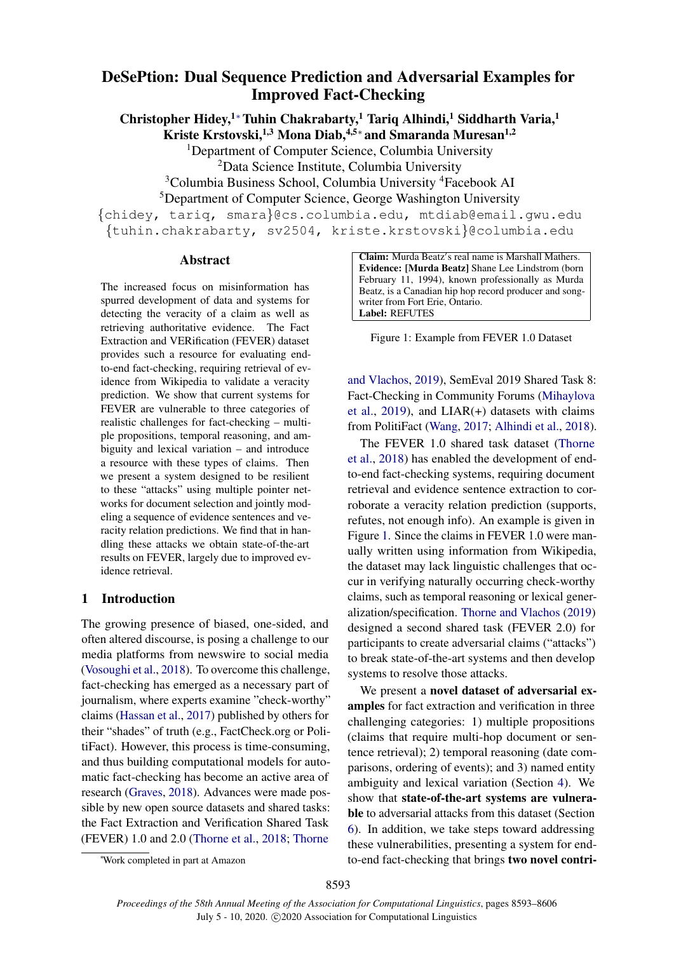# DeSePtion: Dual Sequence Prediction and Adversarial Examples for Improved Fact-Checking

Christopher Hidey,<sup>1</sup><sup>∗</sup>Tuhin Chakrabarty,<sup>1</sup> Tariq Alhindi,<sup>1</sup> Siddharth Varia,<sup>1</sup>

Kriste Krstovski,<sup>1,3</sup> Mona Diab,<sup>4,5∗</sup> and Smaranda Muresan<sup>1,2</sup>

<sup>1</sup>Department of Computer Science, Columbia University

<sup>2</sup>Data Science Institute, Columbia University

<sup>3</sup>Columbia Business School, Columbia University <sup>4</sup>Facebook AI

<sup>5</sup>Department of Computer Science, George Washington University

{chidey, tariq, smara}@cs.columbia.edu, mtdiab@email.gwu.edu {tuhin.chakrabarty, sv2504, kriste.krstovski}@columbia.edu

#### Abstract

The increased focus on misinformation has spurred development of data and systems for detecting the veracity of a claim as well as retrieving authoritative evidence. The Fact Extraction and VERification (FEVER) dataset provides such a resource for evaluating endto-end fact-checking, requiring retrieval of evidence from Wikipedia to validate a veracity prediction. We show that current systems for FEVER are vulnerable to three categories of realistic challenges for fact-checking – multiple propositions, temporal reasoning, and ambiguity and lexical variation – and introduce a resource with these types of claims. Then we present a system designed to be resilient to these "attacks" using multiple pointer networks for document selection and jointly modeling a sequence of evidence sentences and veracity relation predictions. We find that in handling these attacks we obtain state-of-the-art results on FEVER, largely due to improved evidence retrieval.

# 1 Introduction

The growing presence of biased, one-sided, and often altered discourse, is posing a challenge to our media platforms from newswire to social media [\(Vosoughi et al.,](#page-11-0) [2018\)](#page-11-0). To overcome this challenge, fact-checking has emerged as a necessary part of journalism, where experts examine "check-worthy" claims [\(Hassan et al.,](#page-9-0) [2017\)](#page-9-0) published by others for their "shades" of truth (e.g., FactCheck.org or PolitiFact). However, this process is time-consuming, and thus building computational models for automatic fact-checking has become an active area of research [\(Graves,](#page-9-1) [2018\)](#page-9-1). Advances were made possible by new open source datasets and shared tasks: the Fact Extraction and Verification Shared Task (FEVER) 1.0 and 2.0 [\(Thorne et al.,](#page-11-1) [2018;](#page-11-1) [Thorne](#page-11-2)

<span id="page-0-0"></span>Claim: Murda Beatz's real name is Marshall Mathers. Evidence: [Murda Beatz] Shane Lee Lindstrom (born February 11, 1994), known professionally as Murda Beatz, is a Canadian hip hop record producer and songwriter from Fort Erie, Ontario. Label: REFUTES

Figure 1: Example from FEVER 1.0 Dataset

[and Vlachos,](#page-11-2) [2019\)](#page-11-2), SemEval 2019 Shared Task 8: Fact-Checking in Community Forums [\(Mihaylova](#page-10-0) [et al.,](#page-10-0) [2019\)](#page-10-0), and  $LIAR(+)$  datasets with claims from PolitiFact [\(Wang,](#page-11-3) [2017;](#page-11-3) [Alhindi et al.,](#page-9-2) [2018\)](#page-9-2).

The FEVER 1.0 shared task dataset [\(Thorne](#page-11-1) [et al.,](#page-11-1) [2018\)](#page-11-1) has enabled the development of endto-end fact-checking systems, requiring document retrieval and evidence sentence extraction to corroborate a veracity relation prediction (supports, refutes, not enough info). An example is given in Figure [1.](#page-0-0) Since the claims in FEVER 1.0 were manually written using information from Wikipedia, the dataset may lack linguistic challenges that occur in verifying naturally occurring check-worthy claims, such as temporal reasoning or lexical generalization/specification. [Thorne and Vlachos](#page-11-2) [\(2019\)](#page-11-2) designed a second shared task (FEVER 2.0) for participants to create adversarial claims ("attacks") to break state-of-the-art systems and then develop systems to resolve those attacks.

We present a novel dataset of adversarial examples for fact extraction and verification in three challenging categories: 1) multiple propositions (claims that require multi-hop document or sentence retrieval); 2) temporal reasoning (date comparisons, ordering of events); and 3) named entity ambiguity and lexical variation (Section [4\)](#page-1-0). We show that state-of-the-art systems are vulnerable to adversarial attacks from this dataset (Section [6\)](#page-6-0). In addition, we take steps toward addressing these vulnerabilities, presenting a system for endto-end fact-checking that brings two novel contri-

<sup>∗</sup>[Work completed in part at Amazon](#page-11-2)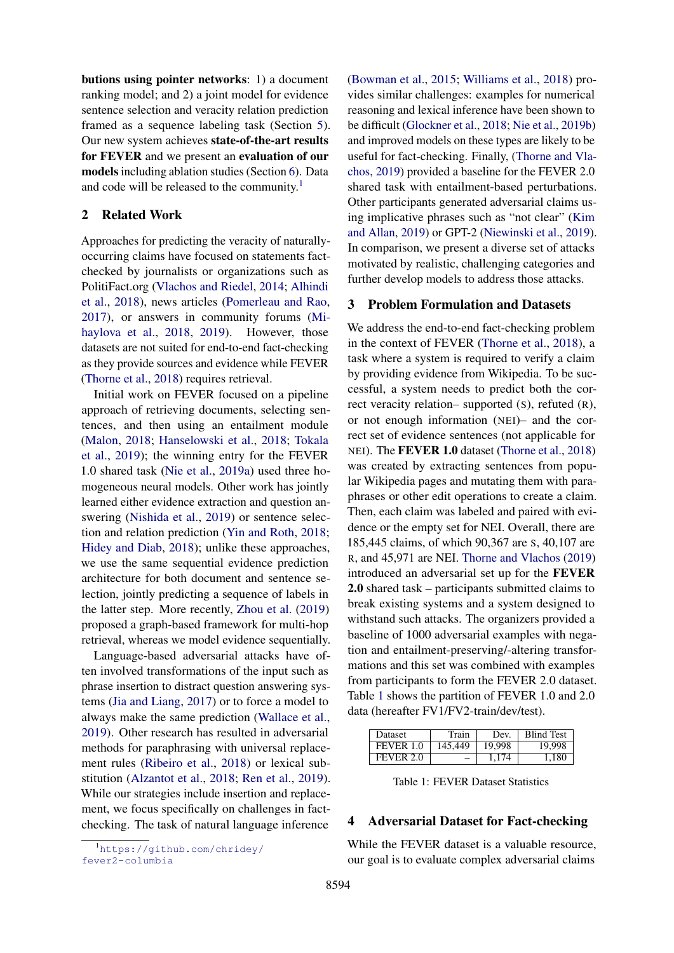butions using pointer networks: 1) a document ranking model; and 2) a joint model for evidence sentence selection and veracity relation prediction framed as a sequence labeling task (Section [5\)](#page-3-0). Our new system achieves state-of-the-art results for FEVER and we present an evaluation of our models including ablation studies (Section [6\)](#page-6-0). Data and code will be released to the community.<sup>[1](#page-1-1)</sup>

#### 2 Related Work

Approaches for predicting the veracity of naturallyoccurring claims have focused on statements factchecked by journalists or organizations such as PolitiFact.org [\(Vlachos and Riedel,](#page-11-4) [2014;](#page-11-4) [Alhindi](#page-9-2) [et al.,](#page-9-2) [2018\)](#page-9-2), news articles [\(Pomerleau and Rao,](#page-10-1) [2017\)](#page-10-1), or answers in community forums [\(Mi](#page-10-2)[haylova et al.,](#page-10-2) [2018,](#page-10-2) [2019\)](#page-10-0). However, those datasets are not suited for end-to-end fact-checking as they provide sources and evidence while FEVER [\(Thorne et al.,](#page-11-1) [2018\)](#page-11-1) requires retrieval.

Initial work on FEVER focused on a pipeline approach of retrieving documents, selecting sentences, and then using an entailment module [\(Malon,](#page-10-3) [2018;](#page-10-3) [Hanselowski et al.,](#page-9-3) [2018;](#page-9-3) [Tokala](#page-11-5) [et al.,](#page-11-5) [2019\)](#page-11-5); the winning entry for the FEVER 1.0 shared task [\(Nie et al.,](#page-10-4) [2019a\)](#page-10-4) used three homogeneous neural models. Other work has jointly learned either evidence extraction and question answering [\(Nishida et al.,](#page-10-5) [2019\)](#page-10-5) or sentence selection and relation prediction [\(Yin and Roth,](#page-11-6) [2018;](#page-11-6) [Hidey and Diab,](#page-9-4) [2018\)](#page-9-4); unlike these approaches, we use the same sequential evidence prediction architecture for both document and sentence selection, jointly predicting a sequence of labels in the latter step. More recently, [Zhou et al.](#page-11-7) [\(2019\)](#page-11-7) proposed a graph-based framework for multi-hop retrieval, whereas we model evidence sequentially.

Language-based adversarial attacks have often involved transformations of the input such as phrase insertion to distract question answering systems [\(Jia and Liang,](#page-9-5) [2017\)](#page-9-5) or to force a model to always make the same prediction [\(Wallace et al.,](#page-11-8) [2019\)](#page-11-8). Other research has resulted in adversarial methods for paraphrasing with universal replacement rules [\(Ribeiro et al.,](#page-10-6) [2018\)](#page-10-6) or lexical substitution [\(Alzantot et al.,](#page-9-6) [2018;](#page-9-6) [Ren et al.,](#page-10-7) [2019\)](#page-10-7). While our strategies include insertion and replacement, we focus specifically on challenges in factchecking. The task of natural language inference

<span id="page-1-1"></span><sup>1</sup>[https://github.com/chridey/](https://github.com/chridey/fever2-columbia) [fever2-columbia](https://github.com/chridey/fever2-columbia)

[\(Bowman et al.,](#page-9-7) [2015;](#page-9-7) [Williams et al.,](#page-11-9) [2018\)](#page-11-9) provides similar challenges: examples for numerical reasoning and lexical inference have been shown to be difficult [\(Glockner et al.,](#page-9-8) [2018;](#page-9-8) [Nie et al.,](#page-10-8) [2019b\)](#page-10-8) and improved models on these types are likely to be useful for fact-checking. Finally, [\(Thorne and Vla](#page-11-2)[chos,](#page-11-2) [2019\)](#page-11-2) provided a baseline for the FEVER 2.0 shared task with entailment-based perturbations. Other participants generated adversarial claims using implicative phrases such as "not clear" [\(Kim](#page-10-9) [and Allan,](#page-10-9) [2019\)](#page-10-9) or GPT-2 [\(Niewinski et al.,](#page-10-10) [2019\)](#page-10-10). In comparison, we present a diverse set of attacks motivated by realistic, challenging categories and further develop models to address those attacks.

#### <span id="page-1-3"></span>3 Problem Formulation and Datasets

We address the end-to-end fact-checking problem in the context of FEVER [\(Thorne et al.,](#page-11-1) [2018\)](#page-11-1), a task where a system is required to verify a claim by providing evidence from Wikipedia. To be successful, a system needs to predict both the correct veracity relation– supported (S), refuted (R), or not enough information (NEI)– and the correct set of evidence sentences (not applicable for NEI). The FEVER 1.0 dataset [\(Thorne et al.,](#page-11-1) [2018\)](#page-11-1) was created by extracting sentences from popular Wikipedia pages and mutating them with paraphrases or other edit operations to create a claim. Then, each claim was labeled and paired with evidence or the empty set for NEI. Overall, there are 185,445 claims, of which 90,367 are S, 40,107 are R, and 45,971 are NEI. [Thorne and Vlachos](#page-11-2) [\(2019\)](#page-11-2) introduced an adversarial set up for the FEVER 2.0 shared task – participants submitted claims to break existing systems and a system designed to withstand such attacks. The organizers provided a baseline of 1000 adversarial examples with negation and entailment-preserving/-altering transformations and this set was combined with examples from participants to form the FEVER 2.0 dataset. Table [1](#page-1-2) shows the partition of FEVER 1.0 and 2.0 data (hereafter FV1/FV2-train/dev/test).

<span id="page-1-2"></span>

| Dataset   | Train   | Dev.    | <b>Blind Test</b> |
|-----------|---------|---------|-------------------|
| FEVER 1.0 | 145.449 | 19.998  | 19.998            |
| FEVER 2.0 |         | 1 1 7 4 | 1.180             |

Table 1: FEVER Dataset Statistics

#### <span id="page-1-0"></span>4 Adversarial Dataset for Fact-checking

While the FEVER dataset is a valuable resource, our goal is to evaluate complex adversarial claims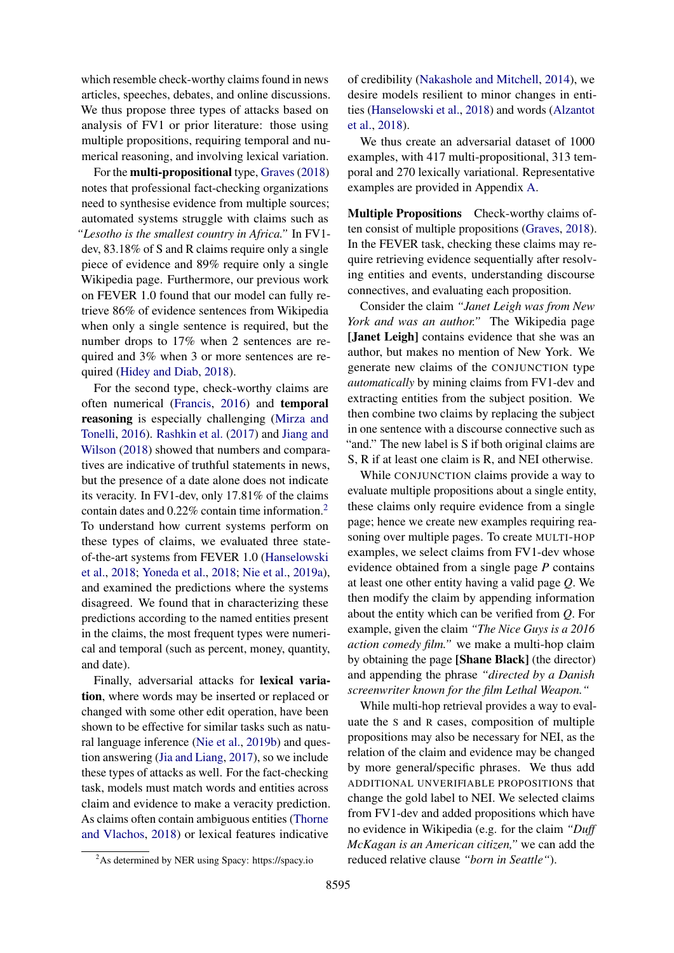which resemble check-worthy claims found in news articles, speeches, debates, and online discussions. We thus propose three types of attacks based on analysis of FV1 or prior literature: those using multiple propositions, requiring temporal and numerical reasoning, and involving lexical variation.

For the multi-propositional type, [Graves](#page-9-1) [\(2018\)](#page-9-1) notes that professional fact-checking organizations need to synthesise evidence from multiple sources; automated systems struggle with claims such as *"Lesotho is the smallest country in Africa."* In FV1 dev, 83.18% of S and R claims require only a single piece of evidence and 89% require only a single Wikipedia page. Furthermore, our previous work on FEVER 1.0 found that our model can fully retrieve 86% of evidence sentences from Wikipedia when only a single sentence is required, but the number drops to 17% when 2 sentences are required and 3% when 3 or more sentences are required [\(Hidey and Diab,](#page-9-4) [2018\)](#page-9-4).

For the second type, check-worthy claims are often numerical [\(Francis,](#page-9-9) [2016\)](#page-9-9) and temporal reasoning is especially challenging [\(Mirza and](#page-10-11) [Tonelli,](#page-10-11) [2016\)](#page-10-11). [Rashkin et al.](#page-10-12) [\(2017\)](#page-10-12) and [Jiang and](#page-10-13) [Wilson](#page-10-13) [\(2018\)](#page-10-13) showed that numbers and comparatives are indicative of truthful statements in news, but the presence of a date alone does not indicate its veracity. In FV1-dev, only 17.81% of the claims contain dates and 0.22% contain time information.[2](#page-2-0) To understand how current systems perform on these types of claims, we evaluated three stateof-the-art systems from FEVER 1.0 [\(Hanselowski](#page-9-3) [et al.,](#page-9-3) [2018;](#page-9-3) [Yoneda et al.,](#page-11-10) [2018;](#page-11-10) [Nie et al.,](#page-10-4) [2019a\)](#page-10-4), and examined the predictions where the systems disagreed. We found that in characterizing these predictions according to the named entities present in the claims, the most frequent types were numerical and temporal (such as percent, money, quantity, and date).

Finally, adversarial attacks for lexical variation, where words may be inserted or replaced or changed with some other edit operation, have been shown to be effective for similar tasks such as natural language inference [\(Nie et al.,](#page-10-8) [2019b\)](#page-10-8) and question answering [\(Jia and Liang,](#page-9-5) [2017\)](#page-9-5), so we include these types of attacks as well. For the fact-checking task, models must match words and entities across claim and evidence to make a veracity prediction. As claims often contain ambiguous entities [\(Thorne](#page-11-11) [and Vlachos,](#page-11-11) [2018\)](#page-11-11) or lexical features indicative

of credibility [\(Nakashole and Mitchell,](#page-10-14) [2014\)](#page-10-14), we desire models resilient to minor changes in entities [\(Hanselowski et al.,](#page-9-3) [2018\)](#page-9-3) and words [\(Alzantot](#page-9-6) [et al.,](#page-9-6) [2018\)](#page-9-6).

We thus create an adversarial dataset of 1000 examples, with 417 multi-propositional, 313 temporal and 270 lexically variational. Representative examples are provided in Appendix [A.](#page-11-12)

Multiple Propositions Check-worthy claims often consist of multiple propositions [\(Graves,](#page-9-1) [2018\)](#page-9-1). In the FEVER task, checking these claims may require retrieving evidence sequentially after resolving entities and events, understanding discourse connectives, and evaluating each proposition.

Consider the claim *"Janet Leigh was from New York and was an author."* The Wikipedia page [**Janet Leigh**] contains evidence that she was an author, but makes no mention of New York. We generate new claims of the CONJUNCTION type *automatically* by mining claims from FV1-dev and extracting entities from the subject position. We then combine two claims by replacing the subject in one sentence with a discourse connective such as "and." The new label is S if both original claims are S, R if at least one claim is R, and NEI otherwise.

While CONJUNCTION claims provide a way to evaluate multiple propositions about a single entity, these claims only require evidence from a single page; hence we create new examples requiring reasoning over multiple pages. To create MULTI-HOP examples, we select claims from FV1-dev whose evidence obtained from a single page *P* contains at least one other entity having a valid page *Q*. We then modify the claim by appending information about the entity which can be verified from *Q*. For example, given the claim *"The Nice Guys is a 2016 action comedy film."* we make a multi-hop claim by obtaining the page [Shane Black] (the director) and appending the phrase *"directed by a Danish screenwriter known for the film Lethal Weapon."*

While multi-hop retrieval provides a way to evaluate the S and R cases, composition of multiple propositions may also be necessary for NEI, as the relation of the claim and evidence may be changed by more general/specific phrases. We thus add ADDITIONAL UNVERIFIABLE PROPOSITIONS that change the gold label to NEI. We selected claims from FV1-dev and added propositions which have no evidence in Wikipedia (e.g. for the claim *"Duff McKagan is an American citizen,"* we can add the reduced relative clause *"born in Seattle"*).

<span id="page-2-0"></span><sup>2</sup>As determined by NER using Spacy: https://spacy.io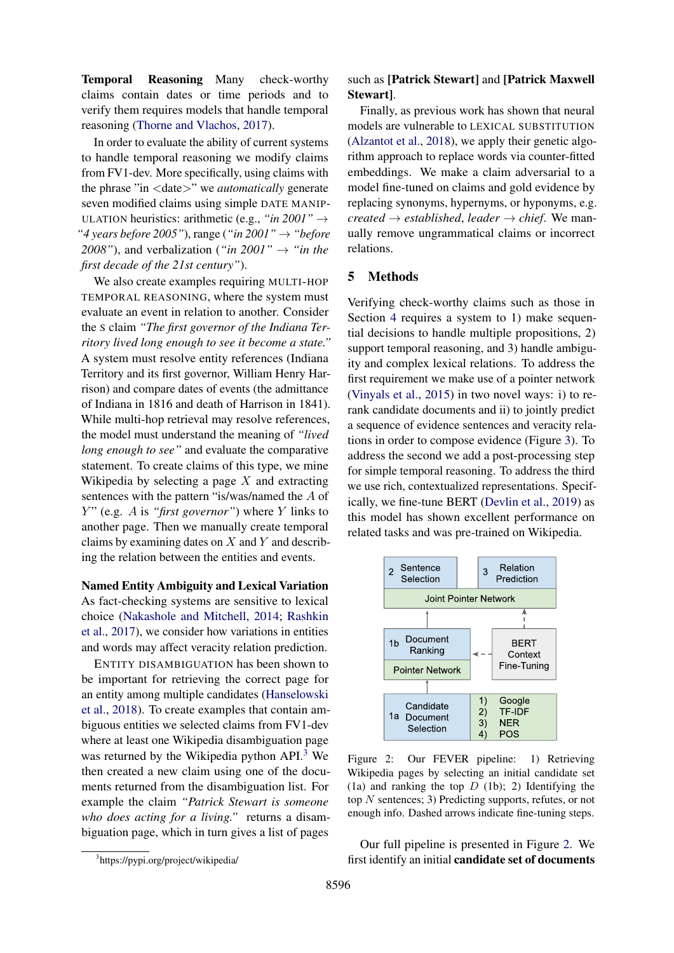Temporal Reasoning Many check-worthy claims contain dates or time periods and to verify them requires models that handle temporal reasoning [\(Thorne and Vlachos,](#page-11-13) [2017\)](#page-11-13).

In order to evaluate the ability of current systems to handle temporal reasoning we modify claims from FV1-dev. More specifically, using claims with the phrase "in <date>" we *automatically* generate seven modified claims using simple DATE MANIP-ULATION heuristics: arithmetic (e.g., *"in 2001"* → *"4 years before 2005"*), range (*"in 2001"* → *"before 2008"*), and verbalization (*"in 2001"*  $\rightarrow$  *"in the first decade of the 21st century"*).

We also create examples requiring MULTI-HOP TEMPORAL REASONING, where the system must evaluate an event in relation to another. Consider the S claim *"The first governor of the Indiana Territory lived long enough to see it become a state."* A system must resolve entity references (Indiana Territory and its first governor, William Henry Harrison) and compare dates of events (the admittance of Indiana in 1816 and death of Harrison in 1841). While multi-hop retrieval may resolve references, the model must understand the meaning of *"lived long enough to see"* and evaluate the comparative statement. To create claims of this type, we mine Wikipedia by selecting a page  $X$  and extracting sentences with the pattern "is/was/named the A of Y " (e.g. A is *"first governor"*) where Y links to another page. Then we manually create temporal claims by examining dates on  $X$  and  $Y$  and describing the relation between the entities and events.

#### Named Entity Ambiguity and Lexical Variation

As fact-checking systems are sensitive to lexical choice [\(Nakashole and Mitchell,](#page-10-14) [2014;](#page-10-14) [Rashkin](#page-10-12) [et al.,](#page-10-12) [2017\)](#page-10-12), we consider how variations in entities and words may affect veracity relation prediction.

ENTITY DISAMBIGUATION has been shown to be important for retrieving the correct page for an entity among multiple candidates [\(Hanselowski](#page-9-3) [et al.,](#page-9-3) [2018\)](#page-9-3). To create examples that contain ambiguous entities we selected claims from FV1-dev where at least one Wikipedia disambiguation page was returned by the Wikipedia python API.<sup>[3](#page-3-1)</sup> We then created a new claim using one of the documents returned from the disambiguation list. For example the claim *"Patrick Stewart is someone who does acting for a living."* returns a disambiguation page, which in turn gives a list of pages

#### <span id="page-3-1"></span>3 https://pypi.org/project/wikipedia/

# such as [Patrick Stewart] and [Patrick Maxwell Stewart].

Finally, as previous work has shown that neural models are vulnerable to LEXICAL SUBSTITUTION [\(Alzantot et al.,](#page-9-6) [2018\)](#page-9-6), we apply their genetic algorithm approach to replace words via counter-fitted embeddings. We make a claim adversarial to a model fine-tuned on claims and gold evidence by replacing synonyms, hypernyms, or hyponyms, e.g. *created*  $\rightarrow$  *established*, *leader*  $\rightarrow$  *chief*. We manually remove ungrammatical claims or incorrect relations.

### <span id="page-3-0"></span>5 Methods

Verifying check-worthy claims such as those in Section [4](#page-1-0) requires a system to 1) make sequential decisions to handle multiple propositions, 2) support temporal reasoning, and 3) handle ambiguity and complex lexical relations. To address the first requirement we make use of a pointer network [\(Vinyals et al.,](#page-11-14) [2015\)](#page-11-14) in two novel ways: i) to rerank candidate documents and ii) to jointly predict a sequence of evidence sentences and veracity relations in order to compose evidence (Figure [3\)](#page-4-0). To address the second we add a post-processing step for simple temporal reasoning. To address the third we use rich, contextualized representations. Specifically, we fine-tune BERT [\(Devlin et al.,](#page-9-10) [2019\)](#page-9-10) as this model has shown excellent performance on related tasks and was pre-trained on Wikipedia.

<span id="page-3-2"></span>

Figure 2: Our FEVER pipeline: 1) Retrieving Wikipedia pages by selecting an initial candidate set (1a) and ranking the top  $D$  (1b); 2) Identifying the top N sentences; 3) Predicting supports, refutes, or not enough info. Dashed arrows indicate fine-tuning steps.

Our full pipeline is presented in Figure [2.](#page-3-2) We first identify an initial candidate set of documents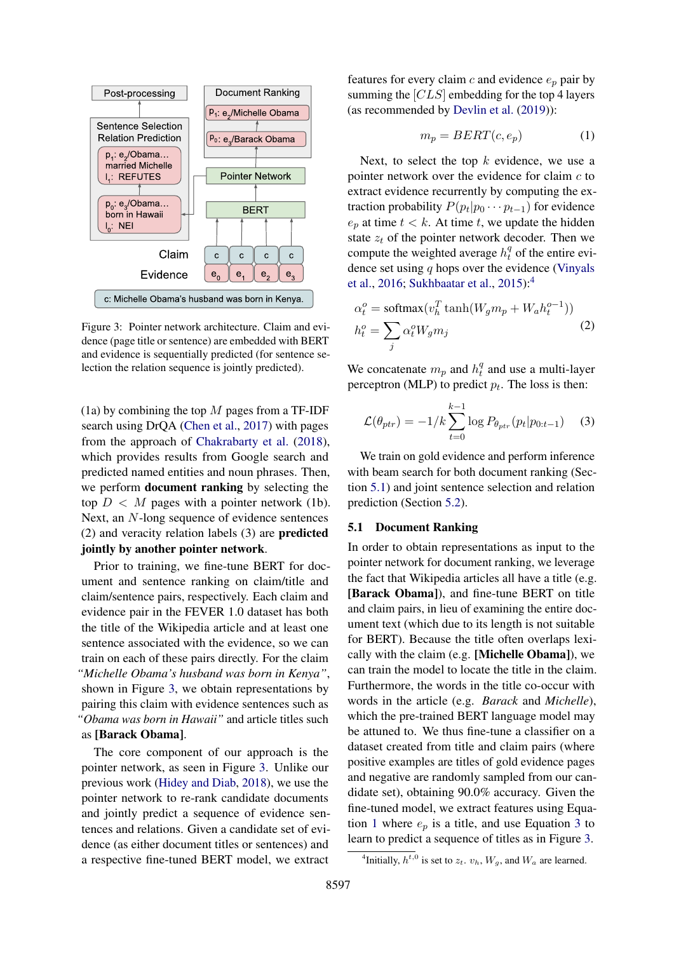<span id="page-4-0"></span>

Figure 3: Pointer network architecture. Claim and evidence (page title or sentence) are embedded with BERT and evidence is sequentially predicted (for sentence selection the relation sequence is jointly predicted).

(1a) by combining the top  $M$  pages from a TF-IDF search using DrQA [\(Chen et al.,](#page-9-11) [2017\)](#page-9-11) with pages from the approach of [Chakrabarty et al.](#page-9-12) [\(2018\)](#page-9-12), which provides results from Google search and predicted named entities and noun phrases. Then, we perform document ranking by selecting the top  $D < M$  pages with a pointer network (1b). Next, an N-long sequence of evidence sentences (2) and veracity relation labels (3) are predicted jointly by another pointer network.

Prior to training, we fine-tune BERT for document and sentence ranking on claim/title and claim/sentence pairs, respectively. Each claim and evidence pair in the FEVER 1.0 dataset has both the title of the Wikipedia article and at least one sentence associated with the evidence, so we can train on each of these pairs directly. For the claim *"Michelle Obama's husband was born in Kenya"*, shown in Figure [3,](#page-4-0) we obtain representations by pairing this claim with evidence sentences such as *"Obama was born in Hawaii"* and article titles such as [Barack Obama].

The core component of our approach is the pointer network, as seen in Figure [3.](#page-4-0) Unlike our previous work [\(Hidey and Diab,](#page-9-4) [2018\)](#page-9-4), we use the pointer network to re-rank candidate documents and jointly predict a sequence of evidence sentences and relations. Given a candidate set of evidence (as either document titles or sentences) and a respective fine-tuned BERT model, we extract

features for every claim  $c$  and evidence  $e_p$  pair by summing the [CLS] embedding for the top 4 layers (as recommended by [Devlin et al.](#page-9-10) [\(2019\)](#page-9-10)):

<span id="page-4-3"></span>
$$
m_p = BERT(c, e_p) \tag{1}
$$

Next, to select the top  $k$  evidence, we use a pointer network over the evidence for claim  $c$  to extract evidence recurrently by computing the extraction probability  $P(p_t|p_0 \cdots p_{t-1})$  for evidence  $e_p$  at time  $t < k$ . At time t, we update the hidden state  $z_t$  of the pointer network decoder. Then we compute the weighted average  $h_t^q$  $t<sub>t</sub><sup>q</sup>$  of the entire evidence set using  $q$  hops over the evidence [\(Vinyals](#page-11-15) [et al.,](#page-11-15) [2016;](#page-11-15) [Sukhbaatar et al.,](#page-10-15) [2015\)](#page-10-15):[4](#page-4-1)

<span id="page-4-5"></span>
$$
\alpha_t^o = \text{softmax}(v_h^T \tanh(W_g m_p + W_a h_t^{o-1}))
$$
  

$$
h_t^o = \sum_j \alpha_t^o W_g m_j
$$
 (2)

We concatenate  $m_p$  and  $h_t^q$  $t<sub>t</sub><sup>q</sup>$  and use a multi-layer perceptron (MLP) to predict  $p_t$ . The loss is then:

<span id="page-4-4"></span>
$$
\mathcal{L}(\theta_{ptr}) = -1/k \sum_{t=0}^{k-1} \log P_{\theta_{ptr}}(p_t|p_{0:t-1}) \quad (3)
$$

We train on gold evidence and perform inference with beam search for both document ranking (Section [5.1\)](#page-4-2) and joint sentence selection and relation prediction (Section [5.2\)](#page-5-0).

### <span id="page-4-2"></span>5.1 Document Ranking

In order to obtain representations as input to the pointer network for document ranking, we leverage the fact that Wikipedia articles all have a title (e.g. [Barack Obama]), and fine-tune BERT on title and claim pairs, in lieu of examining the entire document text (which due to its length is not suitable for BERT). Because the title often overlaps lexically with the claim (e.g. [Michelle Obama]), we can train the model to locate the title in the claim. Furthermore, the words in the title co-occur with words in the article (e.g. *Barack* and *Michelle*), which the pre-trained BERT language model may be attuned to. We thus fine-tune a classifier on a dataset created from title and claim pairs (where positive examples are titles of gold evidence pages and negative are randomly sampled from our candidate set), obtaining 90.0% accuracy. Given the fine-tuned model, we extract features using Equa-tion [1](#page-4-3) where  $e_p$  is a title, and use Equation [3](#page-4-4) to learn to predict a sequence of titles as in Figure [3.](#page-4-0)

<span id="page-4-1"></span><sup>&</sup>lt;sup>4</sup>Initially,  $h^{t,0}$  is set to  $z_t$ .  $v_h$ ,  $W_g$ , and  $W_a$  are learned.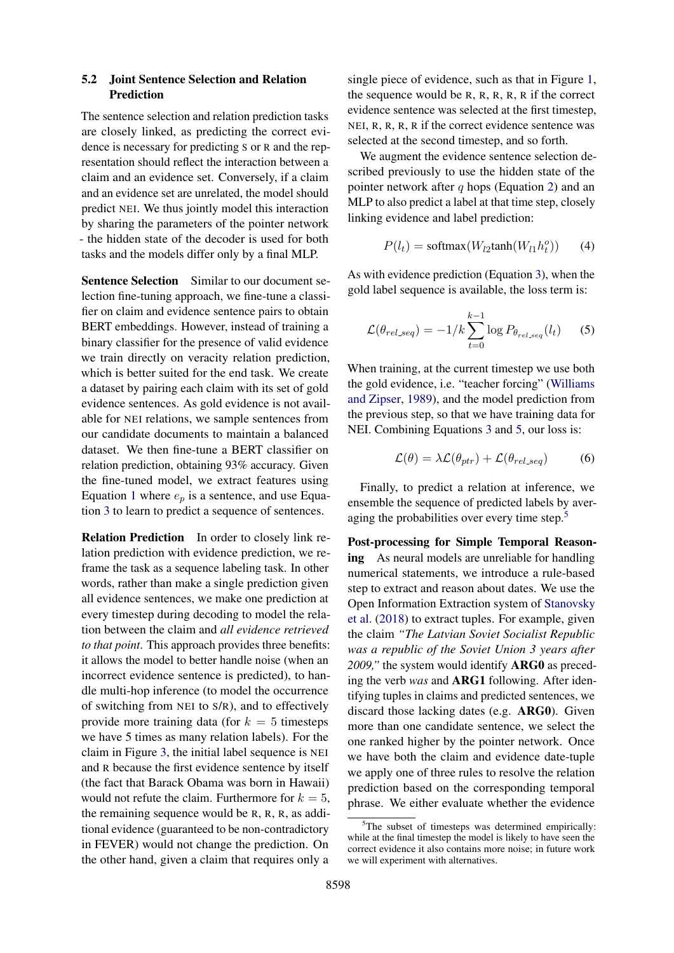### <span id="page-5-0"></span>5.2 Joint Sentence Selection and Relation Prediction

The sentence selection and relation prediction tasks are closely linked, as predicting the correct evidence is necessary for predicting S or R and the representation should reflect the interaction between a claim and an evidence set. Conversely, if a claim and an evidence set are unrelated, the model should predict NEI. We thus jointly model this interaction by sharing the parameters of the pointer network - the hidden state of the decoder is used for both tasks and the models differ only by a final MLP.

Sentence Selection Similar to our document selection fine-tuning approach, we fine-tune a classifier on claim and evidence sentence pairs to obtain BERT embeddings. However, instead of training a binary classifier for the presence of valid evidence we train directly on veracity relation prediction, which is better suited for the end task. We create a dataset by pairing each claim with its set of gold evidence sentences. As gold evidence is not available for NEI relations, we sample sentences from our candidate documents to maintain a balanced dataset. We then fine-tune a BERT classifier on relation prediction, obtaining 93% accuracy. Given the fine-tuned model, we extract features using Equation [1](#page-4-3) where  $e_p$  is a sentence, and use Equation [3](#page-4-4) to learn to predict a sequence of sentences.

Relation Prediction In order to closely link relation prediction with evidence prediction, we reframe the task as a sequence labeling task. In other words, rather than make a single prediction given all evidence sentences, we make one prediction at every timestep during decoding to model the relation between the claim and *all evidence retrieved to that point*. This approach provides three benefits: it allows the model to better handle noise (when an incorrect evidence sentence is predicted), to handle multi-hop inference (to model the occurrence of switching from NEI to S/R), and to effectively provide more training data (for  $k = 5$  timesteps we have 5 times as many relation labels). For the claim in Figure [3,](#page-4-0) the initial label sequence is NEI and R because the first evidence sentence by itself (the fact that Barack Obama was born in Hawaii) would not refute the claim. Furthermore for  $k = 5$ , the remaining sequence would be R, R, R, as additional evidence (guaranteed to be non-contradictory in FEVER) would not change the prediction. On the other hand, given a claim that requires only a

single piece of evidence, such as that in Figure [1,](#page-0-0) the sequence would be R, R, R, R, R if the correct evidence sentence was selected at the first timestep, NEI, R, R, R, R if the correct evidence sentence was selected at the second timestep, and so forth.

We augment the evidence sentence selection described previously to use the hidden state of the pointer network after  $q$  hops (Equation [2\)](#page-4-5) and an MLP to also predict a label at that time step, closely linking evidence and label prediction:

<span id="page-5-1"></span>
$$
P(l_t) = \text{softmax}(W_{l2} \text{tanh}(W_{l1} h_t^o)) \qquad (4)
$$

As with evidence prediction (Equation [3\)](#page-4-4), when the gold label sequence is available, the loss term is:

$$
\mathcal{L}(\theta_{rel\_seq}) = -1/k \sum_{t=0}^{k-1} \log P_{\theta_{rel\_seq}}(l_t) \qquad (5)
$$

When training, at the current timestep we use both the gold evidence, i.e. "teacher forcing" [\(Williams](#page-11-16) [and Zipser,](#page-11-16) [1989\)](#page-11-16), and the model prediction from the previous step, so that we have training data for NEI. Combining Equations [3](#page-4-4) and [5,](#page-5-1) our loss is:

$$
\mathcal{L}(\theta) = \lambda \mathcal{L}(\theta_{ptr}) + \mathcal{L}(\theta_{rel\_seq})
$$
 (6)

Finally, to predict a relation at inference, we ensemble the sequence of predicted labels by aver-aging the probabilities over every time step.<sup>[5](#page-5-2)</sup>

Post-processing for Simple Temporal Reasoning As neural models are unreliable for handling numerical statements, we introduce a rule-based step to extract and reason about dates. We use the Open Information Extraction system of [Stanovsky](#page-10-16) [et al.](#page-10-16) [\(2018\)](#page-10-16) to extract tuples. For example, given the claim *"The Latvian Soviet Socialist Republic was a republic of the Soviet Union 3 years after 2009,"* the system would identify ARG0 as preceding the verb *was* and ARG1 following. After identifying tuples in claims and predicted sentences, we discard those lacking dates (e.g. ARG0). Given more than one candidate sentence, we select the one ranked higher by the pointer network. Once we have both the claim and evidence date-tuple we apply one of three rules to resolve the relation prediction based on the corresponding temporal phrase. We either evaluate whether the evidence

<span id="page-5-2"></span> $5$ The subset of timesteps was determined empirically: while at the final timestep the model is likely to have seen the correct evidence it also contains more noise; in future work we will experiment with alternatives.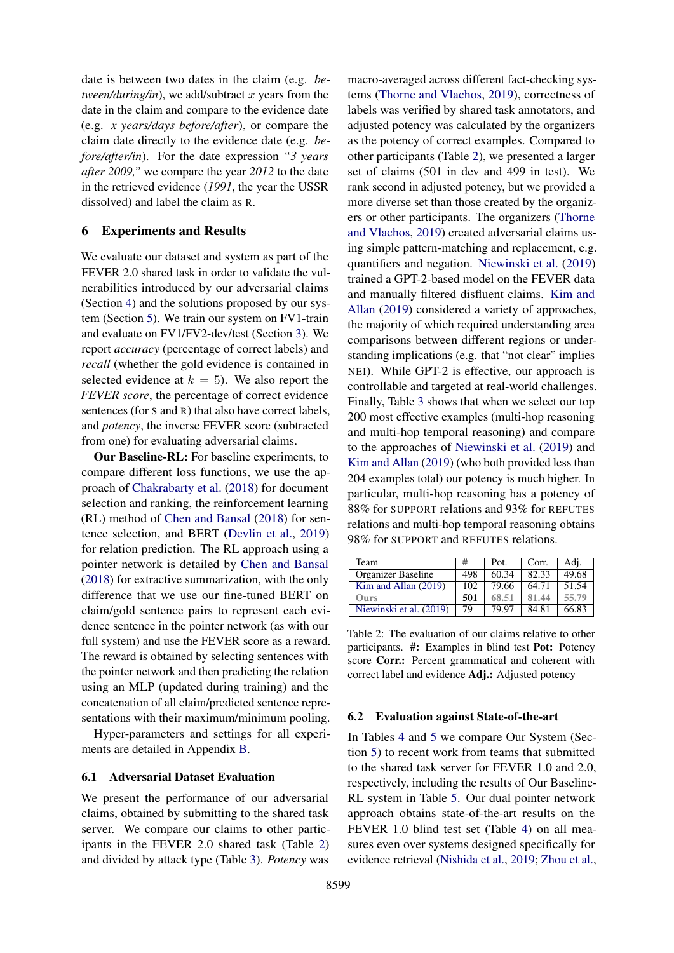date is between two dates in the claim (e.g. *between/during/in*), we add/subtract  $x$  years from the date in the claim and compare to the evidence date (e.g. *x years/days before/after*), or compare the claim date directly to the evidence date (e.g. *before/after/in*). For the date expression *"3 years after 2009,"* we compare the year *2012* to the date in the retrieved evidence (*1991*, the year the USSR dissolved) and label the claim as R.

### <span id="page-6-0"></span>6 Experiments and Results

We evaluate our dataset and system as part of the FEVER 2.0 shared task in order to validate the vulnerabilities introduced by our adversarial claims (Section [4\)](#page-1-0) and the solutions proposed by our system (Section [5\)](#page-3-0). We train our system on FV1-train and evaluate on FV1/FV2-dev/test (Section [3\)](#page-1-3). We report *accuracy* (percentage of correct labels) and *recall* (whether the gold evidence is contained in selected evidence at  $k = 5$ ). We also report the *FEVER score*, the percentage of correct evidence sentences (for S and R) that also have correct labels, and *potency*, the inverse FEVER score (subtracted from one) for evaluating adversarial claims.

Our Baseline-RL: For baseline experiments, to compare different loss functions, we use the approach of [Chakrabarty et al.](#page-9-12) [\(2018\)](#page-9-12) for document selection and ranking, the reinforcement learning (RL) method of [Chen and Bansal](#page-9-13) [\(2018\)](#page-9-13) for sentence selection, and BERT [\(Devlin et al.,](#page-9-10) [2019\)](#page-9-10) for relation prediction. The RL approach using a pointer network is detailed by [Chen and Bansal](#page-9-13) [\(2018\)](#page-9-13) for extractive summarization, with the only difference that we use our fine-tuned BERT on claim/gold sentence pairs to represent each evidence sentence in the pointer network (as with our full system) and use the FEVER score as a reward. The reward is obtained by selecting sentences with the pointer network and then predicting the relation using an MLP (updated during training) and the concatenation of all claim/predicted sentence representations with their maximum/minimum pooling.

Hyper-parameters and settings for all experiments are detailed in Appendix [B.](#page-13-0)

### 6.1 Adversarial Dataset Evaluation

We present the performance of our adversarial claims, obtained by submitting to the shared task server. We compare our claims to other participants in the FEVER 2.0 shared task (Table [2\)](#page-6-1) and divided by attack type (Table [3\)](#page-7-0). *Potency* was

macro-averaged across different fact-checking systems [\(Thorne and Vlachos,](#page-11-2) [2019\)](#page-11-2), correctness of labels was verified by shared task annotators, and adjusted potency was calculated by the organizers as the potency of correct examples. Compared to other participants (Table [2\)](#page-6-1), we presented a larger set of claims (501 in dev and 499 in test). We rank second in adjusted potency, but we provided a more diverse set than those created by the organizers or other participants. The organizers [\(Thorne](#page-11-2) [and Vlachos,](#page-11-2) [2019\)](#page-11-2) created adversarial claims using simple pattern-matching and replacement, e.g. quantifiers and negation. [Niewinski et al.](#page-10-10) [\(2019\)](#page-10-10) trained a GPT-2-based model on the FEVER data and manually filtered disfluent claims. [Kim and](#page-10-9) [Allan](#page-10-9) [\(2019\)](#page-10-9) considered a variety of approaches, the majority of which required understanding area comparisons between different regions or understanding implications (e.g. that "not clear" implies NEI). While GPT-2 is effective, our approach is controllable and targeted at real-world challenges. Finally, Table [3](#page-7-0) shows that when we select our top 200 most effective examples (multi-hop reasoning and multi-hop temporal reasoning) and compare to the approaches of [Niewinski et al.](#page-10-10) [\(2019\)](#page-10-10) and [Kim and Allan](#page-10-9) [\(2019\)](#page-10-9) (who both provided less than 204 examples total) our potency is much higher. In particular, multi-hop reasoning has a potency of 88% for SUPPORT relations and 93% for REFUTES relations and multi-hop temporal reasoning obtains 98% for SUPPORT and REFUTES relations.

<span id="page-6-1"></span>

| Team                    | #   | Pot.  | Corr. | Adj.               |
|-------------------------|-----|-------|-------|--------------------|
| Organizer Baseline      | 498 | 60.34 | 82.33 | $\overline{49.68}$ |
| Kim and Allan (2019)    | 102 | 79.66 | 64.71 | 51.54              |
| Ours                    | 501 | 68.51 | 81.44 | 55.79              |
| Niewinski et al. (2019) | 79  | 79.97 | 84.81 | 66.83              |

Table 2: The evaluation of our claims relative to other participants. #: Examples in blind test Pot: Potency score Corr.: Percent grammatical and coherent with correct label and evidence Adj.: Adjusted potency

### 6.2 Evaluation against State-of-the-art

In Tables [4](#page-7-1) and [5](#page-7-2) we compare Our System (Section [5\)](#page-3-0) to recent work from teams that submitted to the shared task server for FEVER 1.0 and 2.0, respectively, including the results of Our Baseline-RL system in Table [5.](#page-7-2) Our dual pointer network approach obtains state-of-the-art results on the FEVER 1.0 blind test set (Table [4\)](#page-7-1) on all measures even over systems designed specifically for evidence retrieval [\(Nishida et al.,](#page-10-5) [2019;](#page-10-5) [Zhou et al.,](#page-11-7)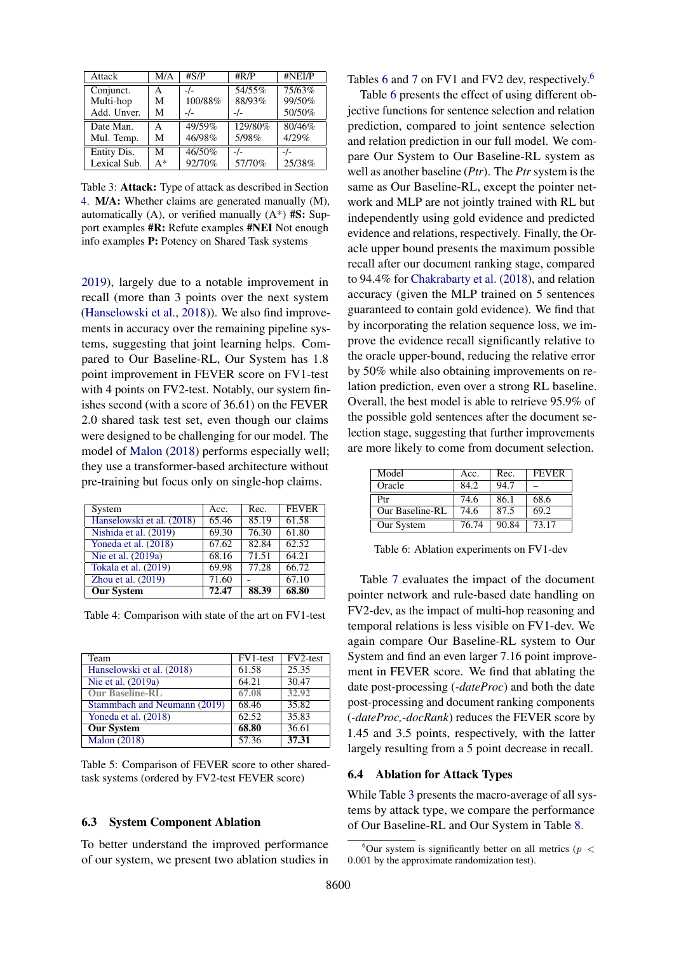<span id="page-7-0"></span>

| Attack       | M/A   | #S/P    | $\#R/P$ | #NEI/P |
|--------------|-------|---------|---------|--------|
| Conjunct.    | А     |         | 54/55%  | 75/63% |
| Multi-hop    | М     | 100/88% | 88/93%  | 99/50% |
| Add. Unver.  | М     | -/-     | -/-     | 50/50% |
| Date Man.    | A     | 49/59%  | 129/80% | 80/46% |
| Mul. Temp.   | М     | 46/98%  | 5/98%   | 4/29%  |
| Entity Dis.  | M     | 46/50%  | $-1$    | $-1$   |
| Lexical Sub. | $A^*$ | 92/70%  | 57/70%  | 25/38% |

Table 3: Attack: Type of attack as described in Section [4.](#page-1-0) M/A: Whether claims are generated manually (M), automatically (A), or verified manually  $(A^*)$  #S: Support examples #R: Refute examples #NEI Not enough info examples P: Potency on Shared Task systems

[2019\)](#page-11-7), largely due to a notable improvement in recall (more than 3 points over the next system [\(Hanselowski et al.,](#page-9-3) [2018\)](#page-9-3)). We also find improvements in accuracy over the remaining pipeline systems, suggesting that joint learning helps. Compared to Our Baseline-RL, Our System has 1.8 point improvement in FEVER score on FV1-test with 4 points on FV2-test. Notably, our system finishes second (with a score of 36.61) on the FEVER 2.0 shared task test set, even though our claims were designed to be challenging for our model. The model of [Malon](#page-10-3) [\(2018\)](#page-10-3) performs especially well; they use a transformer-based architecture without pre-training but focus only on single-hop claims.

<span id="page-7-1"></span>

| System                    | Acc.               | Rec.  | <b>FEVER</b> |
|---------------------------|--------------------|-------|--------------|
| Hanselowski et al. (2018) | $65.\overline{46}$ | 85.19 | 61.58        |
| Nishida et al. (2019)     | 69.30              | 76.30 | 61.80        |
| Yoneda et al. (2018)      | 67.62              | 82.84 | 62.52        |
| Nie et al. $(2019a)$      | 68.16              | 71.51 | 64.21        |
| Tokala et al. (2019)      | 69.98              | 77.28 | 66.72        |
| Zhou et al. $(2019)$      | 71.60              |       | 67.10        |
| <b>Our System</b>         | 72.47              | 88.39 | 68.80        |

Table 4: Comparison with state of the art on FV1-test

<span id="page-7-2"></span>

| Team                         | FV <sub>1</sub> -test | FV <sub>2-test</sub> |
|------------------------------|-----------------------|----------------------|
| Hanselowski et al. (2018)    | 61.58                 | 25.35                |
| Nie et al. (2019a)           | 64.21                 | 30.47                |
| <b>Our Baseline-RL</b>       | 67.08                 | 32.92                |
| Stammbach and Neumann (2019) | 68.46                 | 35.82                |
| Yoneda et al. $(2018)$       | 62.52                 | 35.83                |
| <b>Our System</b>            | 68.80                 | 36.61                |
| <b>Malon</b> (2018)          | $\overline{57.36}$    | 37.31                |

Table 5: Comparison of FEVER score to other sharedtask systems (ordered by FV2-test FEVER score)

#### 6.3 System Component Ablation

To better understand the improved performance of our system, we present two ablation studies in

Tables [6](#page-7-4) and [7](#page-8-0) on FV1 and FV2 dev, respectively.<sup>6</sup>

Table [6](#page-7-3) presents the effect of using different objective functions for sentence selection and relation prediction, compared to joint sentence selection and relation prediction in our full model. We compare Our System to Our Baseline-RL system as well as another baseline (*Ptr*). The *Ptr* system is the same as Our Baseline-RL, except the pointer network and MLP are not jointly trained with RL but independently using gold evidence and predicted evidence and relations, respectively. Finally, the Oracle upper bound presents the maximum possible recall after our document ranking stage, compared to 94.4% for [Chakrabarty et al.](#page-9-12) [\(2018\)](#page-9-12), and relation accuracy (given the MLP trained on 5 sentences guaranteed to contain gold evidence). We find that by incorporating the relation sequence loss, we improve the evidence recall significantly relative to the oracle upper-bound, reducing the relative error by 50% while also obtaining improvements on relation prediction, even over a strong RL baseline. Overall, the best model is able to retrieve 95.9% of the possible gold sentences after the document selection stage, suggesting that further improvements are more likely to come from document selection.

<span id="page-7-3"></span>

| Model           | Acc.  | Rec.  | <b>FEVER</b> |
|-----------------|-------|-------|--------------|
| Oracle          | 84.2  | 94.7  |              |
| Ptr             | 74.6  | 86.1  | 68.6         |
| Our Baseline-RL | 74.6  | 87.5  | 69.2         |
| Our System      | 76.74 | 90.84 | 73.17        |

Table 6: Ablation experiments on FV1-dev

Table [7](#page-8-0) evaluates the impact of the document pointer network and rule-based date handling on FV2-dev, as the impact of multi-hop reasoning and temporal relations is less visible on FV1-dev. We again compare Our Baseline-RL system to Our System and find an even larger 7.16 point improvement in FEVER score. We find that ablating the date post-processing (*-dateProc*) and both the date post-processing and document ranking components (*-dateProc,-docRank*) reduces the FEVER score by 1.45 and 3.5 points, respectively, with the latter largely resulting from a 5 point decrease in recall.

### 6.4 Ablation for Attack Types

While Table [3](#page-7-0) presents the macro-average of all systems by attack type, we compare the performance of Our Baseline-RL and Our System in Table [8.](#page-8-1)

<span id="page-7-4"></span><sup>&</sup>lt;sup>6</sup>Our system is significantly better on all metrics ( $p <$ 0.001 by the approximate randomization test).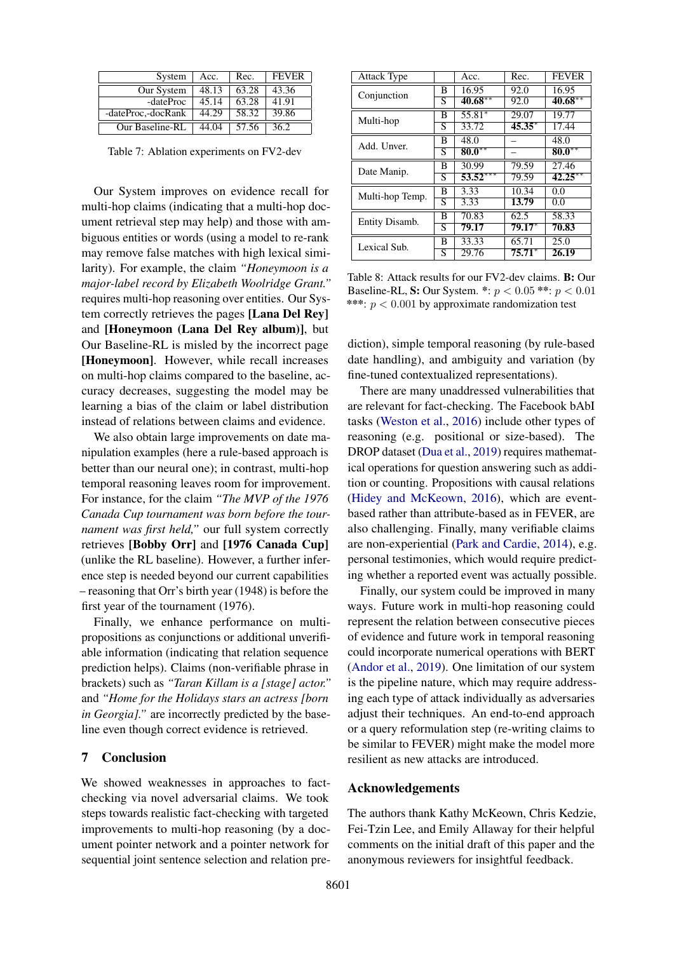<span id="page-8-0"></span>

| System             | Acc.  | Rec.            | <b>FEVER</b> |
|--------------------|-------|-----------------|--------------|
| Our System         | 48.13 | 63.28           | 43.36        |
| -dateProc          | 45.14 | 63.28           | 41.91        |
| -dateProc,-docRank | 44.29 | 58.32           | 39.86        |
| Our Baseline-RL    |       | $44.04$   57.56 | 36.2         |

Table 7: Ablation experiments on FV2-dev

Our System improves on evidence recall for multi-hop claims (indicating that a multi-hop document retrieval step may help) and those with ambiguous entities or words (using a model to re-rank may remove false matches with high lexical similarity). For example, the claim *"Honeymoon is a major-label record by Elizabeth Woolridge Grant."* requires multi-hop reasoning over entities. Our System correctly retrieves the pages [Lana Del Rey] and [Honeymoon (Lana Del Rey album)], but Our Baseline-RL is misled by the incorrect page [Honeymoon]. However, while recall increases on multi-hop claims compared to the baseline, accuracy decreases, suggesting the model may be learning a bias of the claim or label distribution instead of relations between claims and evidence.

We also obtain large improvements on date manipulation examples (here a rule-based approach is better than our neural one); in contrast, multi-hop temporal reasoning leaves room for improvement. For instance, for the claim *"The MVP of the 1976 Canada Cup tournament was born before the tournament was first held,"* our full system correctly retrieves [Bobby Orr] and [1976 Canada Cup] (unlike the RL baseline). However, a further inference step is needed beyond our current capabilities – reasoning that Orr's birth year (1948) is before the first year of the tournament (1976).

Finally, we enhance performance on multipropositions as conjunctions or additional unverifiable information (indicating that relation sequence prediction helps). Claims (non-verifiable phrase in brackets) such as *"Taran Killam is a [stage] actor."* and *"Home for the Holidays stars an actress [born in Georgia].*" are incorrectly predicted by the baseline even though correct evidence is retrieved.

#### 7 Conclusion

We showed weaknesses in approaches to factchecking via novel adversarial claims. We took steps towards realistic fact-checking with targeted improvements to multi-hop reasoning (by a document pointer network and a pointer network for sequential joint sentence selection and relation pre-

<span id="page-8-1"></span>

| Attack Type     |                         | Acc.       | Rec.         | <b>FEVER</b> |
|-----------------|-------------------------|------------|--------------|--------------|
| Conjunction     | В                       | 16.95      | 92.0         | 16.95        |
|                 | S                       | $40.68***$ | 92.0         | $40.68***$   |
| Multi-hop       | В                       | 55.81*     | 29.07        | 19.77        |
|                 | S                       | 33.72      | $45.35*$     | 17.44        |
| Add. Unver.     | В                       | 48.0       |              | 48.0         |
|                 | S                       | $80.0***$  |              | $80.0***$    |
| Date Manip.     | В                       | 30.99      | 79.59        | 27.46        |
|                 | $\overline{s}$          | $53.52***$ | 79.59        | $42.25***$   |
| Multi-hop Temp. | В                       | 3.33       | 10.34        | 0.0          |
|                 | S                       | 3.33       | <b>13.79</b> | 0.0          |
| Entity Disamb.  | В                       | 70.83      | 62.5         | 58.33        |
|                 | S                       | 79.17      | $79.17*$     | 70.83        |
| Lexical Sub.    | В                       | 33.33      | 65.71        | 25.0         |
|                 | $\overline{\mathrm{S}}$ | 29.76      | $75.71*$     | 26.19        |

Table 8: Attack results for our FV2-dev claims. B: Our Baseline-RL, **S:** Our System. \*:  $p < 0.05$  \*\*:  $p < 0.01$ \*\*\*:  $p < 0.001$  by approximate randomization test

diction), simple temporal reasoning (by rule-based date handling), and ambiguity and variation (by fine-tuned contextualized representations).

There are many unaddressed vulnerabilities that are relevant for fact-checking. The Facebook bAbI tasks [\(Weston et al.,](#page-11-17) [2016\)](#page-11-17) include other types of reasoning (e.g. positional or size-based). The DROP dataset [\(Dua et al.,](#page-9-14) [2019\)](#page-9-14) requires mathematical operations for question answering such as addition or counting. Propositions with causal relations [\(Hidey and McKeown,](#page-9-15) [2016\)](#page-9-15), which are eventbased rather than attribute-based as in FEVER, are also challenging. Finally, many verifiable claims are non-experiential [\(Park and Cardie,](#page-10-18) [2014\)](#page-10-18), e.g. personal testimonies, which would require predicting whether a reported event was actually possible.

Finally, our system could be improved in many ways. Future work in multi-hop reasoning could represent the relation between consecutive pieces of evidence and future work in temporal reasoning could incorporate numerical operations with BERT [\(Andor et al.,](#page-9-16) [2019\)](#page-9-16). One limitation of our system is the pipeline nature, which may require addressing each type of attack individually as adversaries adjust their techniques. An end-to-end approach or a query reformulation step (re-writing claims to be similar to FEVER) might make the model more resilient as new attacks are introduced.

### Acknowledgements

The authors thank Kathy McKeown, Chris Kedzie, Fei-Tzin Lee, and Emily Allaway for their helpful comments on the initial draft of this paper and the anonymous reviewers for insightful feedback.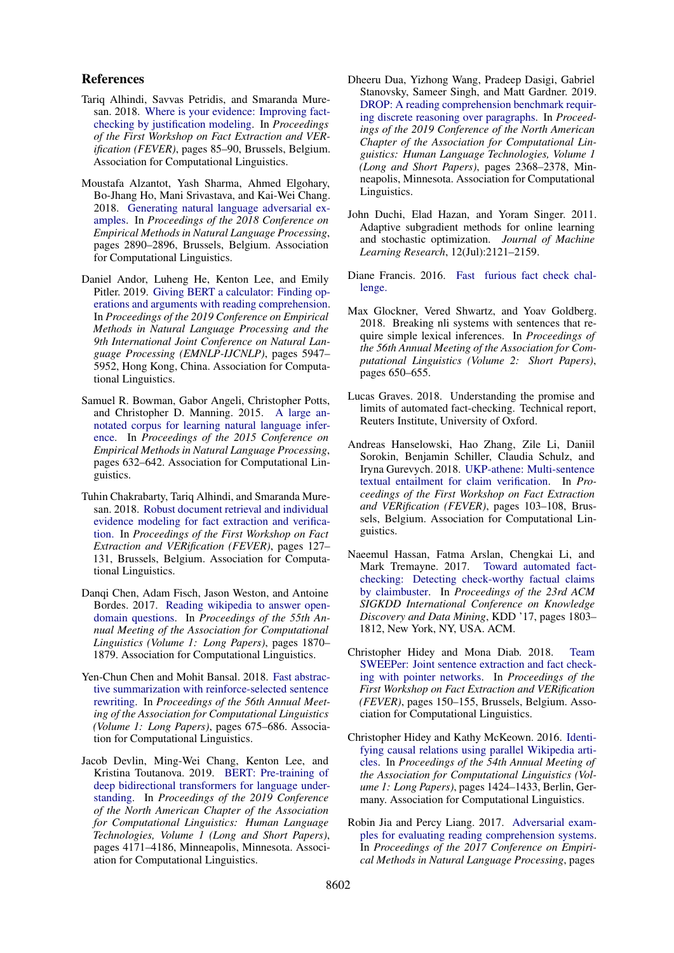#### References

- <span id="page-9-2"></span>Tariq Alhindi, Savvas Petridis, and Smaranda Muresan. 2018. [Where is your evidence: Improving fact](https://doi.org/10.18653/v1/W18-5513)[checking by justification modeling.](https://doi.org/10.18653/v1/W18-5513) In *Proceedings of the First Workshop on Fact Extraction and VERification (FEVER)*, pages 85–90, Brussels, Belgium. Association for Computational Linguistics.
- <span id="page-9-6"></span>Moustafa Alzantot, Yash Sharma, Ahmed Elgohary, Bo-Jhang Ho, Mani Srivastava, and Kai-Wei Chang. 2018. [Generating natural language adversarial ex](https://doi.org/10.18653/v1/D18-1316)[amples.](https://doi.org/10.18653/v1/D18-1316) In *Proceedings of the 2018 Conference on Empirical Methods in Natural Language Processing*, pages 2890–2896, Brussels, Belgium. Association for Computational Linguistics.
- <span id="page-9-16"></span>Daniel Andor, Luheng He, Kenton Lee, and Emily Pitler. 2019. [Giving BERT a calculator: Finding op](https://doi.org/10.18653/v1/D19-1609)[erations and arguments with reading comprehension.](https://doi.org/10.18653/v1/D19-1609) In *Proceedings of the 2019 Conference on Empirical Methods in Natural Language Processing and the 9th International Joint Conference on Natural Language Processing (EMNLP-IJCNLP)*, pages 5947– 5952, Hong Kong, China. Association for Computational Linguistics.
- <span id="page-9-7"></span>Samuel R. Bowman, Gabor Angeli, Christopher Potts, and Christopher D. Manning. 2015. [A large an](https://doi.org/10.18653/v1/D15-1075)[notated corpus for learning natural language infer](https://doi.org/10.18653/v1/D15-1075)[ence.](https://doi.org/10.18653/v1/D15-1075) In *Proceedings of the 2015 Conference on Empirical Methods in Natural Language Processing*, pages 632–642. Association for Computational Linguistics.
- <span id="page-9-12"></span>Tuhin Chakrabarty, Tariq Alhindi, and Smaranda Muresan. 2018. [Robust document retrieval and individual](https://www.aclweb.org/anthology/W18-5521) [evidence modeling for fact extraction and verifica](https://www.aclweb.org/anthology/W18-5521)[tion.](https://www.aclweb.org/anthology/W18-5521) In *Proceedings of the First Workshop on Fact Extraction and VERification (FEVER)*, pages 127– 131, Brussels, Belgium. Association for Computational Linguistics.
- <span id="page-9-11"></span>Danqi Chen, Adam Fisch, Jason Weston, and Antoine Bordes. 2017. [Reading wikipedia to answer open](https://doi.org/10.18653/v1/P17-1171)[domain questions.](https://doi.org/10.18653/v1/P17-1171) In *Proceedings of the 55th Annual Meeting of the Association for Computational Linguistics (Volume 1: Long Papers)*, pages 1870– 1879. Association for Computational Linguistics.
- <span id="page-9-13"></span>Yen-Chun Chen and Mohit Bansal. 2018. [Fast abstrac](http://aclweb.org/anthology/P18-1063)[tive summarization with reinforce-selected sentence](http://aclweb.org/anthology/P18-1063) [rewriting.](http://aclweb.org/anthology/P18-1063) In *Proceedings of the 56th Annual Meeting of the Association for Computational Linguistics (Volume 1: Long Papers)*, pages 675–686. Association for Computational Linguistics.
- <span id="page-9-10"></span>Jacob Devlin, Ming-Wei Chang, Kenton Lee, and Kristina Toutanova. 2019. [BERT: Pre-training of](https://doi.org/10.18653/v1/N19-1423) [deep bidirectional transformers for language under](https://doi.org/10.18653/v1/N19-1423)[standing.](https://doi.org/10.18653/v1/N19-1423) In *Proceedings of the 2019 Conference of the North American Chapter of the Association for Computational Linguistics: Human Language Technologies, Volume 1 (Long and Short Papers)*, pages 4171–4186, Minneapolis, Minnesota. Association for Computational Linguistics.
- <span id="page-9-14"></span>Dheeru Dua, Yizhong Wang, Pradeep Dasigi, Gabriel Stanovsky, Sameer Singh, and Matt Gardner. 2019. [DROP: A reading comprehension benchmark requir](https://doi.org/10.18653/v1/N19-1246)[ing discrete reasoning over paragraphs.](https://doi.org/10.18653/v1/N19-1246) In *Proceedings of the 2019 Conference of the North American Chapter of the Association for Computational Linguistics: Human Language Technologies, Volume 1 (Long and Short Papers)*, pages 2368–2378, Minneapolis, Minnesota. Association for Computational Linguistics.
- <span id="page-9-17"></span>John Duchi, Elad Hazan, and Yoram Singer. 2011. Adaptive subgradient methods for online learning and stochastic optimization. *Journal of Machine Learning Research*, 12(Jul):2121–2159.
- <span id="page-9-9"></span>Diane Francis. 2016. [Fast furious fact check chal](https://www.herox.com/ factcheck/)[lenge.](https://www.herox.com/ factcheck/)
- <span id="page-9-8"></span>Max Glockner, Vered Shwartz, and Yoav Goldberg. 2018. Breaking nli systems with sentences that require simple lexical inferences. In *Proceedings of the 56th Annual Meeting of the Association for Computational Linguistics (Volume 2: Short Papers)*, pages 650–655.
- <span id="page-9-1"></span>Lucas Graves. 2018. Understanding the promise and limits of automated fact-checking. Technical report, Reuters Institute, University of Oxford.
- <span id="page-9-3"></span>Andreas Hanselowski, Hao Zhang, Zile Li, Daniil Sorokin, Benjamin Schiller, Claudia Schulz, and Iryna Gurevych. 2018. [UKP-athene: Multi-sentence](https://doi.org/10.18653/v1/W18-5516) [textual entailment for claim verification.](https://doi.org/10.18653/v1/W18-5516) In *Proceedings of the First Workshop on Fact Extraction and VERification (FEVER)*, pages 103–108, Brussels, Belgium. Association for Computational Linguistics.
- <span id="page-9-0"></span>Naeemul Hassan, Fatma Arslan, Chengkai Li, and Mark Tremayne. 2017. [Toward automated fact](https://doi.org/10.1145/3097983.3098131)[checking: Detecting check-worthy factual claims](https://doi.org/10.1145/3097983.3098131) [by claimbuster.](https://doi.org/10.1145/3097983.3098131) In *Proceedings of the 23rd ACM SIGKDD International Conference on Knowledge Discovery and Data Mining*, KDD '17, pages 1803– 1812, New York, NY, USA. ACM.
- <span id="page-9-4"></span>Christopher Hidey and Mona Diab. 2018. [Team](https://doi.org/10.18653/v1/W18-5525) [SWEEPer: Joint sentence extraction and fact check](https://doi.org/10.18653/v1/W18-5525)[ing with pointer networks.](https://doi.org/10.18653/v1/W18-5525) In *Proceedings of the First Workshop on Fact Extraction and VERification (FEVER)*, pages 150–155, Brussels, Belgium. Association for Computational Linguistics.
- <span id="page-9-15"></span>Christopher Hidey and Kathy McKeown. 2016. [Identi](https://doi.org/10.18653/v1/P16-1135)[fying causal relations using parallel Wikipedia arti](https://doi.org/10.18653/v1/P16-1135)[cles.](https://doi.org/10.18653/v1/P16-1135) In *Proceedings of the 54th Annual Meeting of the Association for Computational Linguistics (Volume 1: Long Papers)*, pages 1424–1433, Berlin, Germany. Association for Computational Linguistics.
- <span id="page-9-5"></span>Robin Jia and Percy Liang. 2017. [Adversarial exam](https://doi.org/10.18653/v1/D17-1215)[ples for evaluating reading comprehension systems.](https://doi.org/10.18653/v1/D17-1215) In *Proceedings of the 2017 Conference on Empirical Methods in Natural Language Processing*, pages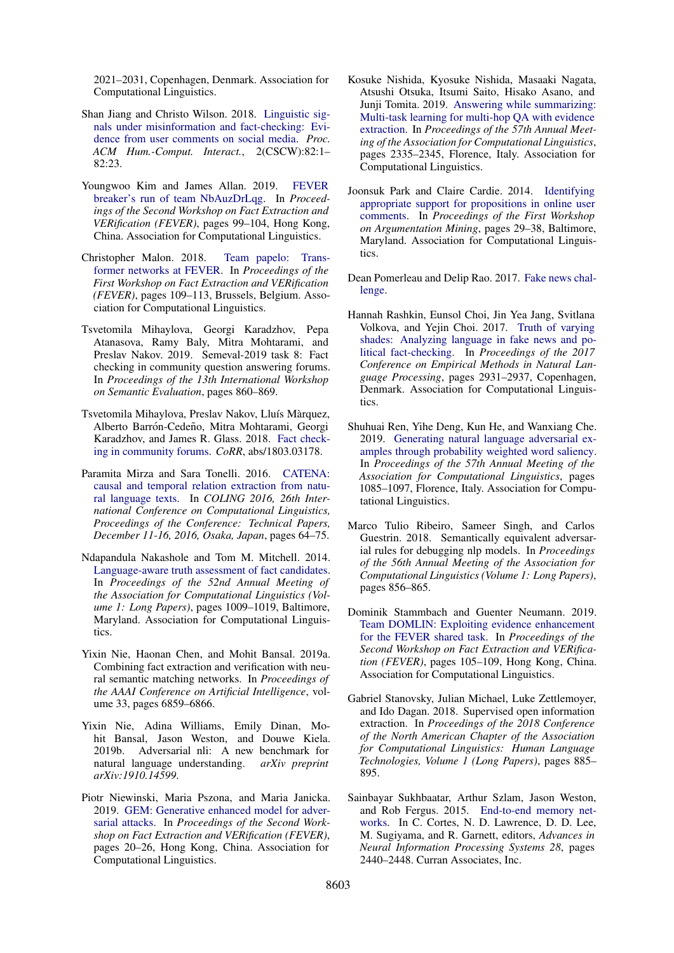2021–2031, Copenhagen, Denmark. Association for Computational Linguistics.

- <span id="page-10-13"></span>Shan Jiang and Christo Wilson. 2018. [Linguistic sig](https://doi.org/10.1145/3274351)[nals under misinformation and fact-checking: Evi](https://doi.org/10.1145/3274351)[dence from user comments on social media.](https://doi.org/10.1145/3274351) *Proc. ACM Hum.-Comput. Interact.*, 2(CSCW):82:1– 82:23.
- <span id="page-10-9"></span>Youngwoo Kim and James Allan. 2019. [FEVER](https://doi.org/10.18653/v1/D19-6615) [breaker's run of team NbAuzDrLqg.](https://doi.org/10.18653/v1/D19-6615) In *Proceedings of the Second Workshop on Fact Extraction and VERification (FEVER)*, pages 99–104, Hong Kong, China. Association for Computational Linguistics.
- <span id="page-10-3"></span>Christopher Malon. 2018. [Team papelo: Trans](https://doi.org/10.18653/v1/W18-5517)[former networks at FEVER.](https://doi.org/10.18653/v1/W18-5517) In *Proceedings of the First Workshop on Fact Extraction and VERification (FEVER)*, pages 109–113, Brussels, Belgium. Association for Computational Linguistics.
- <span id="page-10-0"></span>Tsvetomila Mihaylova, Georgi Karadzhov, Pepa Atanasova, Ramy Baly, Mitra Mohtarami, and Preslav Nakov. 2019. Semeval-2019 task 8: Fact checking in community question answering forums. In *Proceedings of the 13th International Workshop on Semantic Evaluation*, pages 860–869.
- <span id="page-10-2"></span>Tsvetomila Mihaylova, Preslav Nakov, Lluís Màrquez, Alberto Barrón-Cedeño, Mitra Mohtarami, Georgi Karadzhov, and James R. Glass. 2018. [Fact check](http://arxiv.org/abs/1803.03178)[ing in community forums.](http://arxiv.org/abs/1803.03178) *CoRR*, abs/1803.03178.
- <span id="page-10-11"></span>Paramita Mirza and Sara Tonelli. 2016. [CATENA:](https://www.aclweb.org/anthology/C16-1007/) [causal and temporal relation extraction from natu](https://www.aclweb.org/anthology/C16-1007/)[ral language texts.](https://www.aclweb.org/anthology/C16-1007/) In *COLING 2016, 26th International Conference on Computational Linguistics, Proceedings of the Conference: Technical Papers, December 11-16, 2016, Osaka, Japan*, pages 64–75.
- <span id="page-10-14"></span>Ndapandula Nakashole and Tom M. Mitchell. 2014. [Language-aware truth assessment of fact candidates.](https://doi.org/10.3115/v1/P14-1095) In *Proceedings of the 52nd Annual Meeting of the Association for Computational Linguistics (Volume 1: Long Papers)*, pages 1009–1019, Baltimore, Maryland. Association for Computational Linguistics.
- <span id="page-10-4"></span>Yixin Nie, Haonan Chen, and Mohit Bansal. 2019a. Combining fact extraction and verification with neural semantic matching networks. In *Proceedings of the AAAI Conference on Artificial Intelligence*, volume 33, pages 6859–6866.
- <span id="page-10-8"></span>Yixin Nie, Adina Williams, Emily Dinan, Mohit Bansal, Jason Weston, and Douwe Kiela. 2019b. Adversarial nli: A new benchmark for natural language understanding. *arXiv preprint arXiv:1910.14599*.
- <span id="page-10-10"></span>Piotr Niewinski, Maria Pszona, and Maria Janicka. 2019. [GEM: Generative enhanced model for adver](https://doi.org/10.18653/v1/D19-6604)[sarial attacks.](https://doi.org/10.18653/v1/D19-6604) In *Proceedings of the Second Workshop on Fact Extraction and VERification (FEVER)*, pages 20–26, Hong Kong, China. Association for Computational Linguistics.
- <span id="page-10-5"></span>Kosuke Nishida, Kyosuke Nishida, Masaaki Nagata, Atsushi Otsuka, Itsumi Saito, Hisako Asano, and Junji Tomita. 2019. [Answering while summarizing:](https://doi.org/10.18653/v1/P19-1225) [Multi-task learning for multi-hop QA with evidence](https://doi.org/10.18653/v1/P19-1225) [extraction.](https://doi.org/10.18653/v1/P19-1225) In *Proceedings of the 57th Annual Meeting of the Association for Computational Linguistics*, pages 2335–2345, Florence, Italy. Association for Computational Linguistics.
- <span id="page-10-18"></span>Joonsuk Park and Claire Cardie. 2014. [Identifying](https://doi.org/10.3115/v1/W14-2105) [appropriate support for propositions in online user](https://doi.org/10.3115/v1/W14-2105) [comments.](https://doi.org/10.3115/v1/W14-2105) In *Proceedings of the First Workshop on Argumentation Mining*, pages 29–38, Baltimore, Maryland. Association for Computational Linguistics.
- <span id="page-10-1"></span>Dean Pomerleau and Delip Rao. 2017. [Fake news chal](http://fakenewschallenge.org/)[lenge.](http://fakenewschallenge.org/)
- <span id="page-10-12"></span>Hannah Rashkin, Eunsol Choi, Jin Yea Jang, Svitlana Volkova, and Yejin Choi. 2017. [Truth of varying](https://doi.org/10.18653/v1/D17-1317) [shades: Analyzing language in fake news and po](https://doi.org/10.18653/v1/D17-1317)[litical fact-checking.](https://doi.org/10.18653/v1/D17-1317) In *Proceedings of the 2017 Conference on Empirical Methods in Natural Language Processing*, pages 2931–2937, Copenhagen, Denmark. Association for Computational Linguistics.
- <span id="page-10-7"></span>Shuhuai Ren, Yihe Deng, Kun He, and Wanxiang Che. 2019. [Generating natural language adversarial ex](https://doi.org/10.18653/v1/P19-1103)[amples through probability weighted word saliency.](https://doi.org/10.18653/v1/P19-1103) In *Proceedings of the 57th Annual Meeting of the Association for Computational Linguistics*, pages 1085–1097, Florence, Italy. Association for Computational Linguistics.
- <span id="page-10-6"></span>Marco Tulio Ribeiro, Sameer Singh, and Carlos Guestrin. 2018. Semantically equivalent adversarial rules for debugging nlp models. In *Proceedings of the 56th Annual Meeting of the Association for Computational Linguistics (Volume 1: Long Papers)*, pages 856–865.
- <span id="page-10-17"></span>Dominik Stammbach and Guenter Neumann. 2019. [Team DOMLIN: Exploiting evidence enhancement](https://doi.org/10.18653/v1/D19-6616) [for the FEVER shared task.](https://doi.org/10.18653/v1/D19-6616) In *Proceedings of the Second Workshop on Fact Extraction and VERification (FEVER)*, pages 105–109, Hong Kong, China. Association for Computational Linguistics.
- <span id="page-10-16"></span>Gabriel Stanovsky, Julian Michael, Luke Zettlemoyer, and Ido Dagan. 2018. Supervised open information extraction. In *Proceedings of the 2018 Conference of the North American Chapter of the Association for Computational Linguistics: Human Language Technologies, Volume 1 (Long Papers)*, pages 885– 895.
- <span id="page-10-15"></span>Sainbayar Sukhbaatar, Arthur Szlam, Jason Weston, and Rob Fergus. 2015. [End-to-end memory net](http://papers.nips.cc/paper/5846-end-to-end-memory-networks.pdf)[works.](http://papers.nips.cc/paper/5846-end-to-end-memory-networks.pdf) In C. Cortes, N. D. Lawrence, D. D. Lee, M. Sugiyama, and R. Garnett, editors, *Advances in Neural Information Processing Systems 28*, pages 2440–2448. Curran Associates, Inc.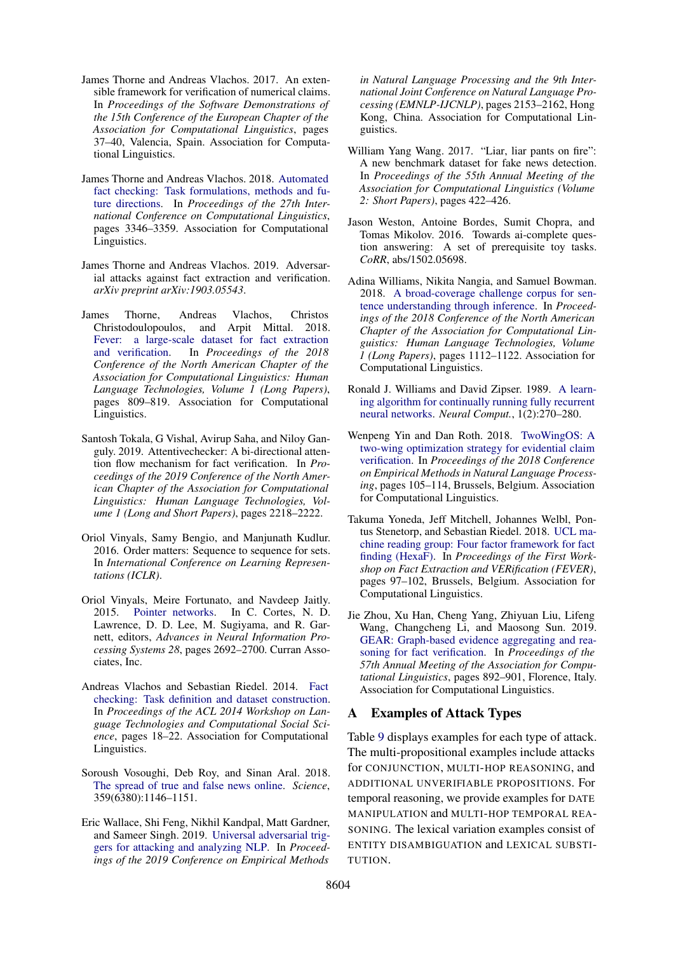- <span id="page-11-13"></span>James Thorne and Andreas Vlachos. 2017. An extensible framework for verification of numerical claims. In *Proceedings of the Software Demonstrations of the 15th Conference of the European Chapter of the Association for Computational Linguistics*, pages 37–40, Valencia, Spain. Association for Computational Linguistics.
- <span id="page-11-11"></span>James Thorne and Andreas Vlachos. 2018. [Automated](http://aclweb.org/anthology/C18-1283) [fact checking: Task formulations, methods and fu](http://aclweb.org/anthology/C18-1283)[ture directions.](http://aclweb.org/anthology/C18-1283) In *Proceedings of the 27th International Conference on Computational Linguistics*, pages 3346–3359. Association for Computational Linguistics.
- <span id="page-11-2"></span>James Thorne and Andreas Vlachos. 2019. Adversarial attacks against fact extraction and verification. *arXiv preprint arXiv:1903.05543*.
- <span id="page-11-1"></span>James Thorne, Andreas Vlachos, Christos Christodoulopoulos, and Arpit Mittal. 2018. [Fever: a large-scale dataset for fact extraction](http://aclweb.org/anthology/N18-1074)<br>and verification. In *Proceedings of the 2018* In *Proceedings of the 2018 Conference of the North American Chapter of the Association for Computational Linguistics: Human Language Technologies, Volume 1 (Long Papers)*, pages 809–819. Association for Computational Linguistics.
- <span id="page-11-5"></span>Santosh Tokala, G Vishal, Avirup Saha, and Niloy Ganguly. 2019. Attentivechecker: A bi-directional attention flow mechanism for fact verification. In *Proceedings of the 2019 Conference of the North American Chapter of the Association for Computational Linguistics: Human Language Technologies, Volume 1 (Long and Short Papers)*, pages 2218–2222.
- <span id="page-11-15"></span>Oriol Vinyals, Samy Bengio, and Manjunath Kudlur. 2016. Order matters: Sequence to sequence for sets. In *International Conference on Learning Representations (ICLR)*.
- <span id="page-11-14"></span>Oriol Vinyals, Meire Fortunato, and Navdeep Jaitly. 2015. [Pointer networks.](http://papers.nips.cc/paper/5866-pointer-networks.pdf) In C. Cortes, N. D. Lawrence, D. D. Lee, M. Sugiyama, and R. Garnett, editors, *Advances in Neural Information Processing Systems 28*, pages 2692–2700. Curran Associates, Inc.
- <span id="page-11-4"></span>Andreas Vlachos and Sebastian Riedel. 2014. [Fact](https://doi.org/10.3115/v1/W14-2508) [checking: Task definition and dataset construction.](https://doi.org/10.3115/v1/W14-2508) In *Proceedings of the ACL 2014 Workshop on Language Technologies and Computational Social Science*, pages 18–22. Association for Computational Linguistics.
- <span id="page-11-0"></span>Soroush Vosoughi, Deb Roy, and Sinan Aral. 2018. [The spread of true and false news online.](https://doi.org/10.1126/science.aap9559) *Science*, 359(6380):1146–1151.
- <span id="page-11-8"></span>Eric Wallace, Shi Feng, Nikhil Kandpal, Matt Gardner, and Sameer Singh. 2019. [Universal adversarial trig](https://doi.org/10.18653/v1/D19-1221)[gers for attacking and analyzing NLP.](https://doi.org/10.18653/v1/D19-1221) In *Proceedings of the 2019 Conference on Empirical Methods*

*in Natural Language Processing and the 9th International Joint Conference on Natural Language Processing (EMNLP-IJCNLP)*, pages 2153–2162, Hong Kong, China. Association for Computational Linguistics.

- <span id="page-11-3"></span>William Yang Wang. 2017. "Liar, liar pants on fire": A new benchmark dataset for fake news detection. In *Proceedings of the 55th Annual Meeting of the Association for Computational Linguistics (Volume 2: Short Papers)*, pages 422–426.
- <span id="page-11-17"></span>Jason Weston, Antoine Bordes, Sumit Chopra, and Tomas Mikolov. 2016. Towards ai-complete question answering: A set of prerequisite toy tasks. *CoRR*, abs/1502.05698.
- <span id="page-11-9"></span>Adina Williams, Nikita Nangia, and Samuel Bowman. 2018. [A broad-coverage challenge corpus for sen](https://doi.org/10.18653/v1/N18-1101)[tence understanding through inference.](https://doi.org/10.18653/v1/N18-1101) In *Proceedings of the 2018 Conference of the North American Chapter of the Association for Computational Linguistics: Human Language Technologies, Volume 1 (Long Papers)*, pages 1112–1122. Association for Computational Linguistics.
- <span id="page-11-16"></span>Ronald J. Williams and David Zipser. 1989. [A learn](https://doi.org/10.1162/neco.1989.1.2.270)[ing algorithm for continually running fully recurrent](https://doi.org/10.1162/neco.1989.1.2.270) [neural networks.](https://doi.org/10.1162/neco.1989.1.2.270) *Neural Comput.*, 1(2):270–280.
- <span id="page-11-6"></span>Wenpeng Yin and Dan Roth. 2018. [TwoWingOS: A](https://doi.org/10.18653/v1/D18-1010) [two-wing optimization strategy for evidential claim](https://doi.org/10.18653/v1/D18-1010) [verification.](https://doi.org/10.18653/v1/D18-1010) In *Proceedings of the 2018 Conference on Empirical Methods in Natural Language Processing*, pages 105–114, Brussels, Belgium. Association for Computational Linguistics.
- <span id="page-11-10"></span>Takuma Yoneda, Jeff Mitchell, Johannes Welbl, Pontus Stenetorp, and Sebastian Riedel. 2018. [UCL ma](https://doi.org/10.18653/v1/W18-5515)[chine reading group: Four factor framework for fact](https://doi.org/10.18653/v1/W18-5515) [finding \(HexaF\).](https://doi.org/10.18653/v1/W18-5515) In *Proceedings of the First Workshop on Fact Extraction and VERification (FEVER)*, pages 97–102, Brussels, Belgium. Association for Computational Linguistics.
- <span id="page-11-7"></span>Jie Zhou, Xu Han, Cheng Yang, Zhiyuan Liu, Lifeng Wang, Changcheng Li, and Maosong Sun. 2019. [GEAR: Graph-based evidence aggregating and rea](https://www.aclweb.org/anthology/P19-1085)[soning for fact verification.](https://www.aclweb.org/anthology/P19-1085) In *Proceedings of the 57th Annual Meeting of the Association for Computational Linguistics*, pages 892–901, Florence, Italy. Association for Computational Linguistics.

# <span id="page-11-12"></span>A Examples of Attack Types

Table [9](#page-12-0) displays examples for each type of attack. The multi-propositional examples include attacks for CONJUNCTION, MULTI-HOP REASONING, and ADDITIONAL UNVERIFIABLE PROPOSITIONS. For temporal reasoning, we provide examples for DATE MANIPULATION and MULTI-HOP TEMPORAL REA-SONING. The lexical variation examples consist of ENTITY DISAMBIGUATION and LEXICAL SUBSTI-TUTION.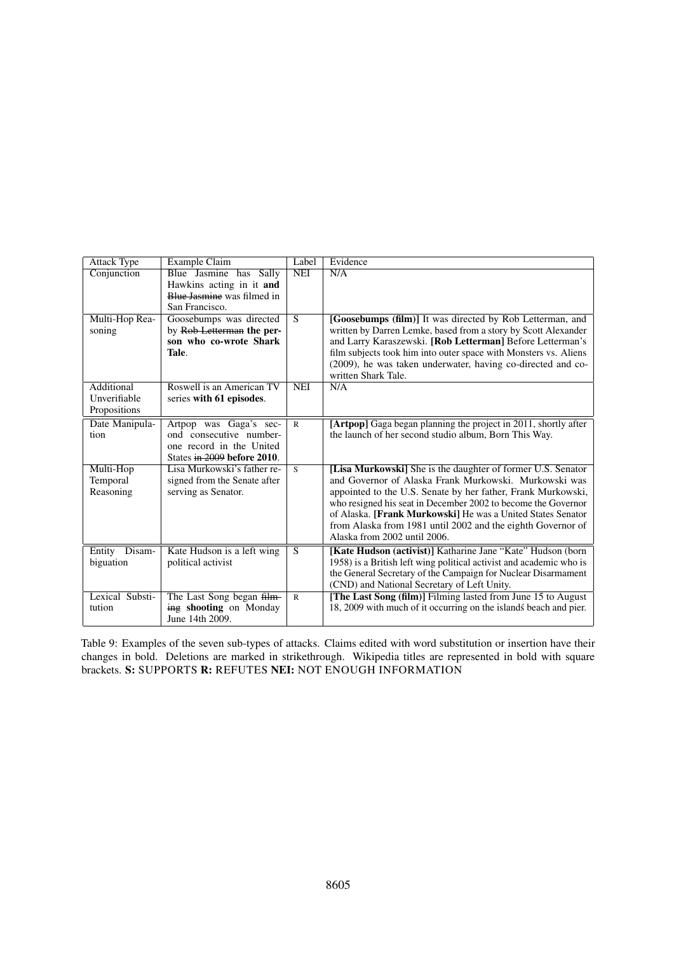<span id="page-12-0"></span>

| <b>Attack Type</b>         | Example Claim                                              | Label          | Evidence                                                                                                             |
|----------------------------|------------------------------------------------------------|----------------|----------------------------------------------------------------------------------------------------------------------|
| Conjunction                | Blue Jasmine has Sally                                     | NEI            | N/A                                                                                                                  |
|                            | Hawkins acting in it and                                   |                |                                                                                                                      |
|                            | Blue Jasmine was filmed in                                 |                |                                                                                                                      |
|                            | San Francisco.                                             |                |                                                                                                                      |
| Multi-Hop Rea-             | Goosebumps was directed                                    | $\overline{S}$ | [Goosebumps (film)] It was directed by Rob Letterman, and                                                            |
| soning                     | by Rob-Letterman the per-                                  |                | written by Darren Lemke, based from a story by Scott Alexander                                                       |
|                            | son who co-wrote Shark                                     |                | and Larry Karaszewski. [Rob Letterman] Before Letterman's                                                            |
|                            | Tale.                                                      |                | film subjects took him into outer space with Monsters vs. Aliens                                                     |
|                            |                                                            |                | (2009), he was taken underwater, having co-directed and co-                                                          |
|                            |                                                            |                | written Shark Tale.                                                                                                  |
| Additional<br>Unverifiable | Roswell is an American TV                                  | <b>NEI</b>     | N/A                                                                                                                  |
|                            | series with 61 episodes.                                   |                |                                                                                                                      |
| Propositions               |                                                            |                |                                                                                                                      |
| Date Manipula-             | Artpop was Gaga's sec-                                     | $\mathsf{R}$   | [Artpop] Gaga began planning the project in 2011, shortly after                                                      |
| tion                       | ond consecutive number-                                    |                | the launch of her second studio album, Born This Way.                                                                |
|                            | one record in the United                                   |                |                                                                                                                      |
|                            | States in 2009 before 2010.<br>Lisa Murkowski's father re- |                |                                                                                                                      |
| Multi-Hop<br>Temporal      | signed from the Senate after                               | S              | [Lisa Murkowski] She is the daughter of former U.S. Senator<br>and Governor of Alaska Frank Murkowski. Murkowski was |
| Reasoning                  | serving as Senator.                                        |                | appointed to the U.S. Senate by her father, Frank Murkowski,                                                         |
|                            |                                                            |                | who resigned his seat in December 2002 to become the Governor                                                        |
|                            |                                                            |                | of Alaska. [Frank Murkowski] He was a United States Senator                                                          |
|                            |                                                            |                | from Alaska from 1981 until 2002 and the eighth Governor of                                                          |
|                            |                                                            |                | Alaska from 2002 until 2006.                                                                                         |
| Disam-<br>Entity           | Kate Hudson is a left wing                                 | $\overline{S}$ | [Kate Hudson (activist)] Katharine Jane "Kate" Hudson (born                                                          |
| biguation                  | political activist                                         |                | 1958) is a British left wing political activist and academic who is                                                  |
|                            |                                                            |                | the General Secretary of the Campaign for Nuclear Disarmament                                                        |
|                            |                                                            |                | (CND) and National Secretary of Left Unity.                                                                          |
| Lexical Substi-            | The Last Song began film-                                  | $\mathbb{R}$   | [The Last Song (film)] Filming lasted from June 15 to August                                                         |
| tution                     | ing shooting on Monday                                     |                | 18, 2009 with much of it occurring on the islands beach and pier.                                                    |
|                            | June 14th 2009.                                            |                |                                                                                                                      |

Table 9: Examples of the seven sub-types of attacks. Claims edited with word substitution or insertion have their changes in bold. Deletions are marked in strikethrough. Wikipedia titles are represented in bold with square brackets. S: SUPPORTS R: REFUTES NEI: NOT ENOUGH INFORMATION